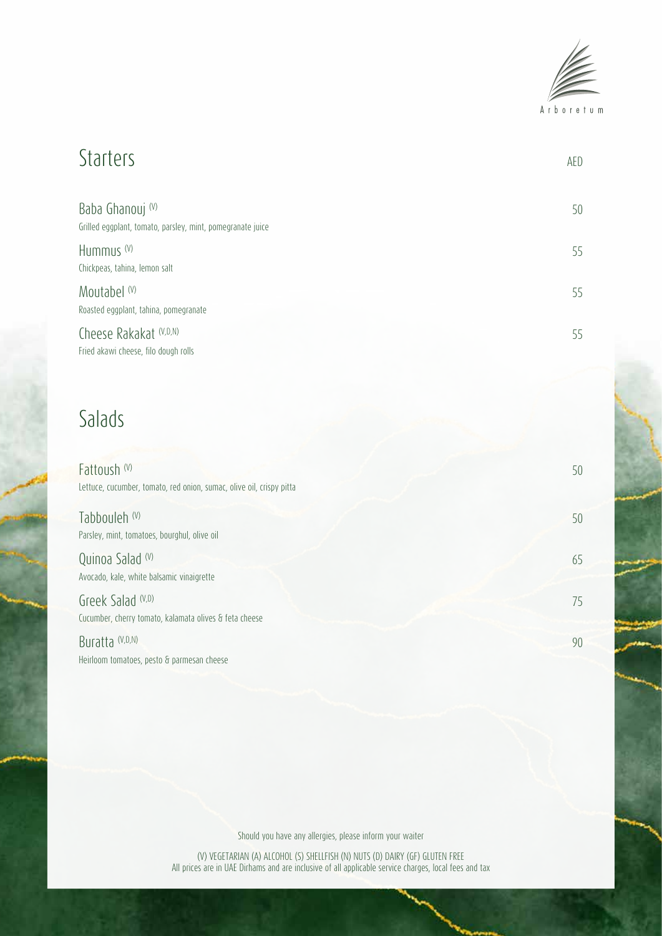

### Starters AED Baba Ghanouj (V) 50 Grilled eggplant, tomato, parsley, mint, pomegranate juice Hummus  $^{(V)}$  55 Chickpeas, tahina, lemon salt Moutabel (V) 55 Roasted eggplant, tahina, pomegranate Cheese Rakakat (V,D,N) 55 Fried akawi cheese, filo dough rolls

## Salads

| Fattoush (V)<br>Lettuce, cucumber, tomato, red onion, sumac, olive oil, crispy pitta | 50 |
|--------------------------------------------------------------------------------------|----|
| Tabbouleh (V)<br>Parsley, mint, tomatoes, bourghul, olive oil                        | 50 |
| Quinoa Salad (V)<br>Avocado, kale, white balsamic vinaigrette                        | 65 |
| Greek Salad (V,D)<br>Cucumber, cherry tomato, kalamata olives & feta cheese          | 75 |
| Buratta (V,D,N)<br>Heirloom tomatoes, pesto & parmesan cheese                        | 90 |

Should you have any allergies, please inform your waiter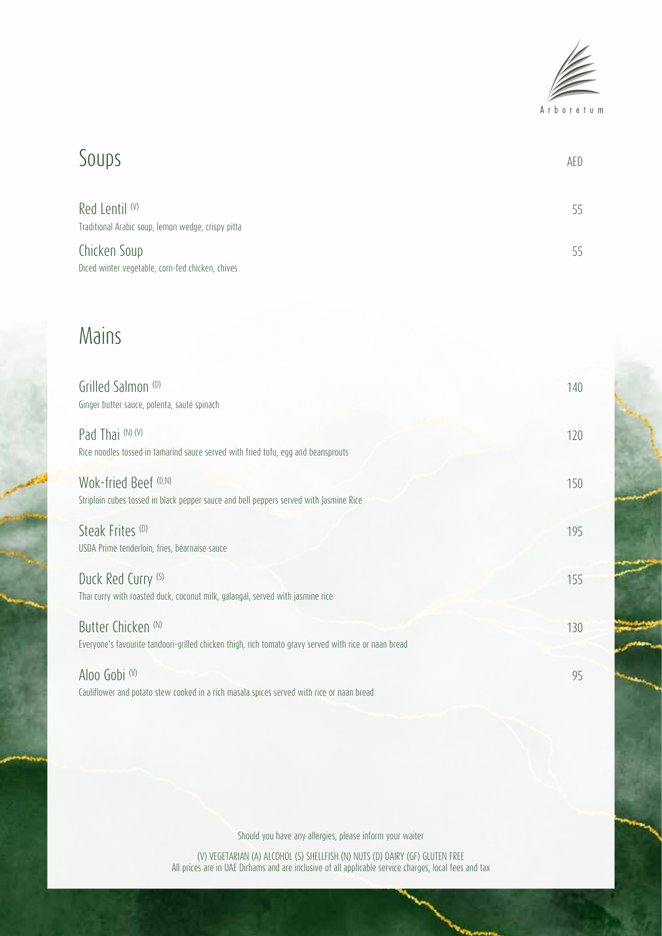

### Soups are also also a series of the series of the series of the series of the series of the series of the series of the series of the series of the series of the series of the series of the series of the series of the seri Red Lentil  $^{(V)}$  55 Traditional Arabic soup, lemon wedge, crispy pitta Chicken Soup 55 Diced winter vegetable, corn-fed chicken, chives

# Mains

| Grilled Salmon (D)<br>Ginger butter sauce, polenta, sauté spinach                                                                      | 140 |
|----------------------------------------------------------------------------------------------------------------------------------------|-----|
| Pad Thai (N) (V)<br>Rice noodles tossed in tamarind sauce served with fried tofu, egg and beansprouts                                  | 120 |
| Wok-fried Beef (D,N)<br>Striploin cubes tossed in black pepper sauce and bell peppers served with Jasmine Rice                         | 150 |
| Steak Frites <sup>(D)</sup><br>USDA Prime tenderloin, fries, béarnaise sauce                                                           | 195 |
| Duck Red Curry (S)<br>Thai curry with roasted duck, coconut milk, galangal, served with jasmine rice                                   | 155 |
| Butter Chicken <sup>(N)</sup><br>Everyone's favourite tandoori-grilled chicken thigh, rich tomato gravy served with rice or naan bread | 130 |
| Aloo Gobi (V)<br>Cauliflower and potato stew cooked in a rich masala spices served with rice or naan bread                             | 95  |

Should you have any allergies, please inform your waiter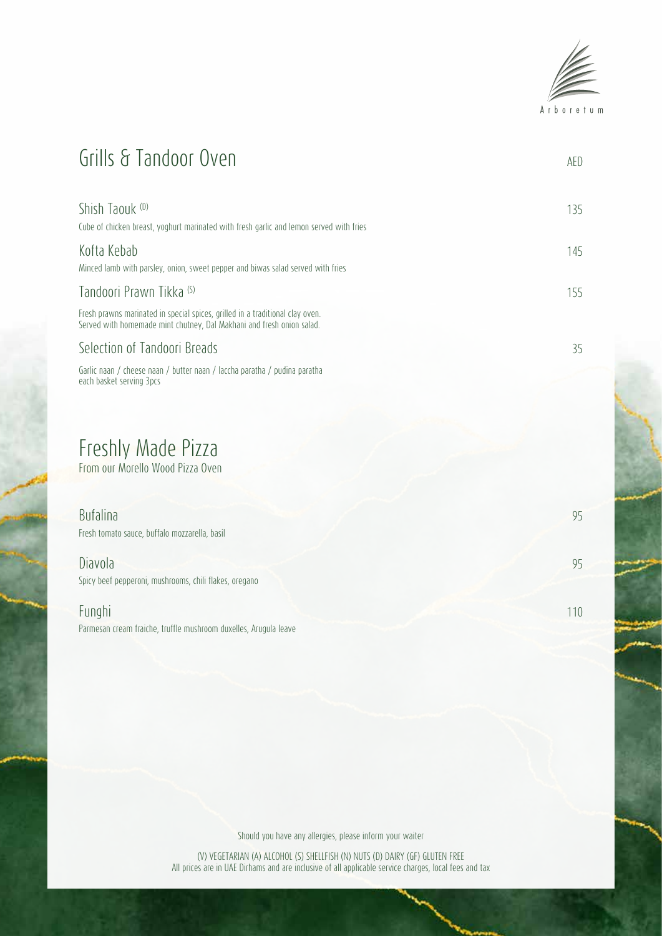

# Grills & Tandoor Oven

| Shish Taouk (D)<br>Cube of chicken breast, voghurt marinated with fresh garlic and lemon served with fries                                             | 135 |
|--------------------------------------------------------------------------------------------------------------------------------------------------------|-----|
| Kofta Kebab<br>Minced lamb with parsley, onion, sweet pepper and biwas salad served with fries                                                         | 145 |
| Tandoori Prawn Tikka (S)                                                                                                                               | 155 |
| Fresh prawns marinated in special spices, grilled in a traditional clay oven.<br>Served with homemade mint chutney. Dal Makhani and fresh onion salad. |     |
| Selection of Tandoori Breads                                                                                                                           | 35  |
| Garlic naan / cheese naan / butter naan / laccha paratha / pudina paratha<br>each basket serving 3pcs                                                  |     |

## Freshly Made Pizza

From our Morello Wood Pizza Oven

| <b>Bufalina</b><br>Fresh tomato sauce, buffalo mozzarella, basil  | 95              |
|-------------------------------------------------------------------|-----------------|
| Diavola<br>Spicy beef pepperoni, mushrooms, chili flakes, oregano | 95              |
| Funghi                                                            | 11 <sup>c</sup> |

Parmesan cream fraiche, truffle mushroom duxelles, Arugula leave

Should you have any allergies, please inform your waiter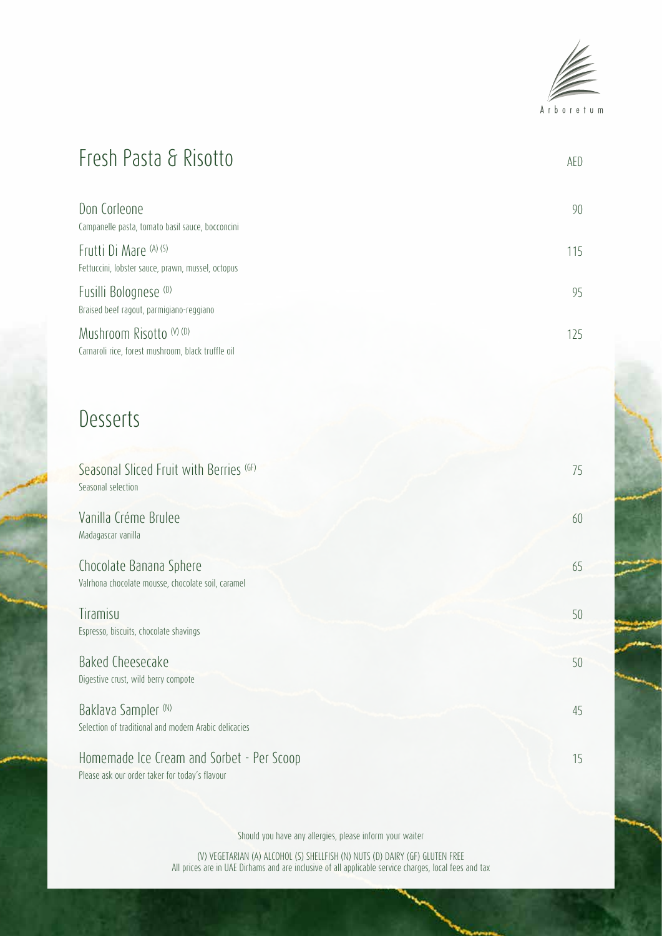

# Fresh Pasta & Risotto AED

| Don Corleone<br>Campanelle pasta, tomato basil sauce, bocconcini               |  |
|--------------------------------------------------------------------------------|--|
| Frutti Di Mare (A) (S)<br>Fettuccini, lobster sauce, prawn, mussel, octopus    |  |
| Fusilli Bolognese <sup>(0)</sup><br>Braised beef ragout, parmigiano-reggiano   |  |
| Mushroom Risotto (V) (D)<br>Carnaroli rice, forest mushroom, black truffle oil |  |

## Desserts

| Seasonal Sliced Fruit with Berries (GF)<br>Seasonal selection                               | 75 |
|---------------------------------------------------------------------------------------------|----|
| Vanilla Créme Brulee<br>Madagascar vanilla                                                  | 60 |
| Chocolate Banana Sphere<br>Valrhona chocolate mousse, chocolate soil, caramel               | 65 |
| Tiramisu<br>Espresso, biscuits, chocolate shavings                                          | 50 |
| Baked Cheesecake<br>Digestive crust, wild berry compote                                     | 50 |
| Baklava Sampler (N)<br>Selection of traditional and modern Arabic delicacies                | 45 |
| Homemade Ice Cream and Sorbet - Per Scoop<br>Please ask our order taker for today's flavour | 15 |

Should you have any allergies, please inform your waiter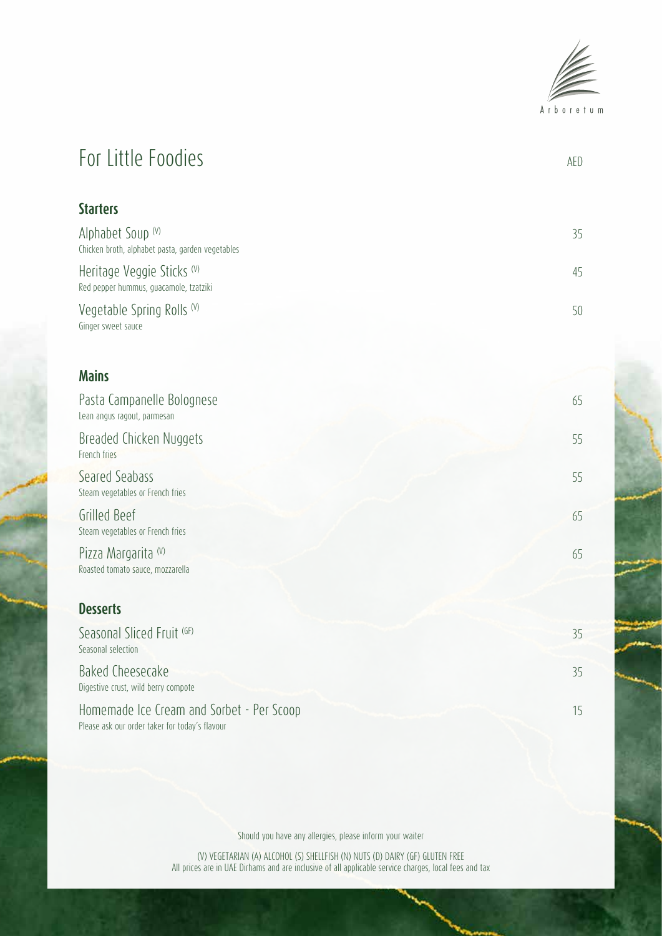

# For Little Foodies AED

| <b>Starters</b>                                                       |    |
|-----------------------------------------------------------------------|----|
| Alphabet Soup (V)<br>Chicken broth, alphabet pasta, garden vegetables | 35 |
| Heritage Veggie Sticks (V)<br>Red pepper hummus, guacamole, tzatziki  | 45 |
| Vegetable Spring Rolls (V)<br>Ginger sweet sauce                      | 50 |

#### **Mains**

| Pasta Campanelle Bolognese<br>Lean angus ragout, parmesan | 65 |
|-----------------------------------------------------------|----|
| Breaded Chicken Nuggets<br>French fries                   | 55 |
| Seared Seabass<br>Steam vegetables or French fries        | 55 |
| Grilled Beef<br>Steam vegetables or French fries          | 65 |
| Pizza Margarita (V)<br>Roasted tomato sauce, mozzarella   | 65 |
| <b>Desserts</b>                                           |    |
| Seasonal Sliced Fruit (GF)<br>Seasonal selection          | 35 |
| Baked Cheesecake<br>Digestive crust, wild berry compote   | 35 |

Homemade Ice Cream and Sorbet - Per Scoop 15 Please ask our order taker for today's flavour

Should you have any allergies, please inform your waiter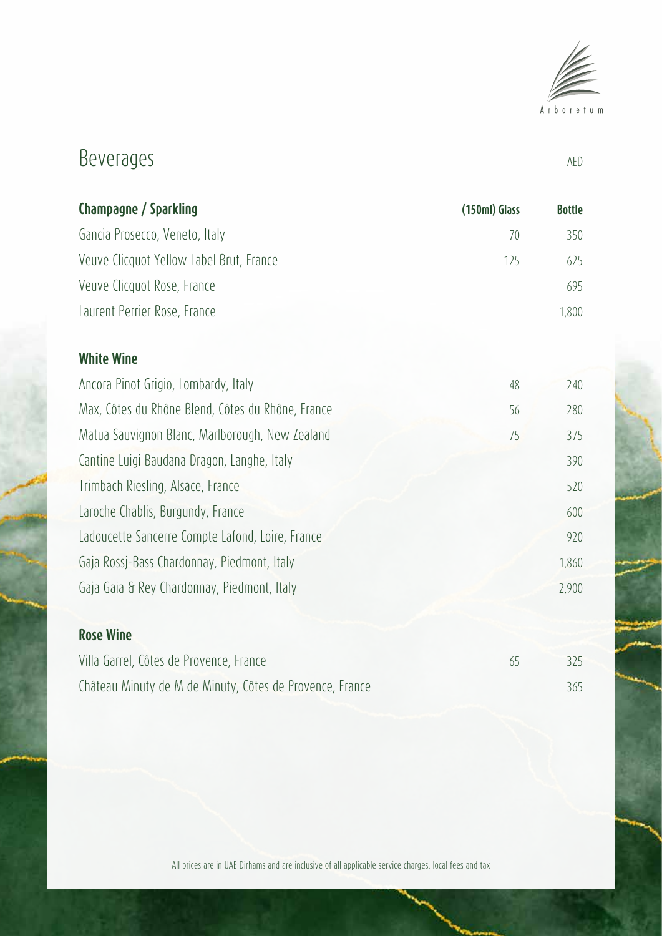

# Beverages AED

| Champagne / Sparkling                    | (150ml) Glass | <b>Bottle</b> |
|------------------------------------------|---------------|---------------|
| Gancia Prosecco, Veneto, Italy           | 70            | 350           |
| Veuve Clicquot Yellow Label Brut, France | 125           | 625           |
| Veuve Clicquot Rose, France              |               | 695           |
| Laurent Perrier Rose, France             |               | 1,800         |

#### **White Wine**

| Ancora Pinot Grigio, Lombardy, Italy              | 48 | 240   |
|---------------------------------------------------|----|-------|
| Max, Côtes du Rhône Blend, Côtes du Rhône, France | 56 | 280   |
| Matua Sauvignon Blanc, Marlborough, New Zealand   | 75 | 375   |
| Cantine Luigi Baudana Dragon, Langhe, Italy       |    | 390   |
| Trimbach Riesling, Alsace, France                 |    | 520   |
| Laroche Chablis, Burgundy, France                 |    | 600   |
| Ladoucette Sancerre Compte Lafond, Loire, France  |    | 920   |
| Gaja Rossj-Bass Chardonnay, Piedmont, Italy       |    | 1,860 |
| Gaja Gaia & Rey Chardonnay, Piedmont, Italy       |    | 2,900 |
|                                                   |    |       |

#### **Rose Wine**

| Villa Garrel, Côtes de Provence, France                  | 325 |
|----------------------------------------------------------|-----|
| Château Minuty de M de Minuty, Côtes de Provence, France | 365 |

All prices are in UAE Dirhams and are inclusive of all applicable service charges, local fees and tax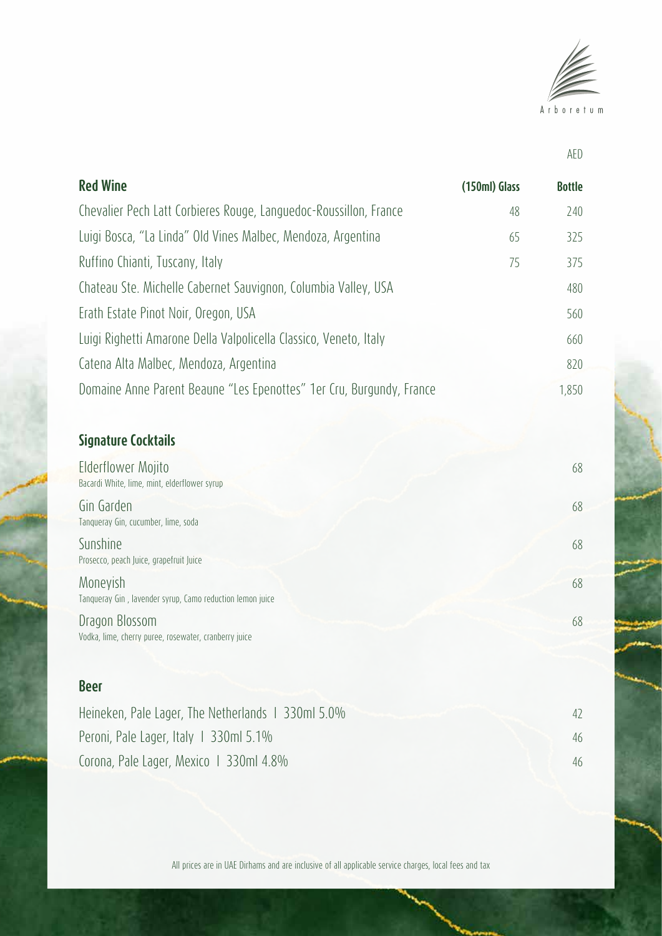

AED

| <b>Red Wine</b>                                                      | (150ml) Glass | <b>Bottle</b> |
|----------------------------------------------------------------------|---------------|---------------|
| Chevalier Pech Latt Corbieres Rouge, Languedoc-Roussillon, France    | 48            | 240           |
| Luigi Bosca, "La Linda" Old Vines Malbec, Mendoza, Argentina         | 65            | 325           |
| Ruffino Chianti, Tuscany, Italy                                      | 75            | 375           |
| Chateau Ste. Michelle Cabernet Sauvignon, Columbia Valley, USA       |               | 480           |
| Erath Estate Pinot Noir, Oregon, USA                                 |               | 560           |
| Luigi Righetti Amarone Della Valpolicella Classico, Veneto, Italy    |               | 660           |
| Catena Alta Malbec, Mendoza, Argentina                               |               | 820           |
| Domaine Anne Parent Beaune "Les Epenottes" 1er Cru, Burgundy, France |               | 1,850         |
|                                                                      |               |               |
| <b>Signature Cocktails</b>                                           |               |               |
| Elderflower Mojito<br>Bacardi White, lime, mint, elderflower syrup   |               | 68            |
| Gin Garden<br>Tanqueray Gin, cucumber, lime, soda                    |               | 68            |
| Sunshine                                                             |               | 68            |

Prosecco, peach Juice, grapefruit Juice

Moneyish 68 Tanqueray Gin , lavender syrup, Camo reduction lemon juice

Dragon Blossom 68 Vodka, lime, cherry puree, rosewater, cranberry juice

#### **Beer**

| Heineken, Pale Lager, The Netherlands 1 330ml 5.0% | 42 |
|----------------------------------------------------|----|
| Peroni, Pale Lager, Italy 1 330ml 5.1%             | 46 |
| Corona, Pale Lager, Mexico   330ml 4.8%            | 46 |

All prices are in UAE Dirhams and are inclusive of all applicable service charges, local fees and tax